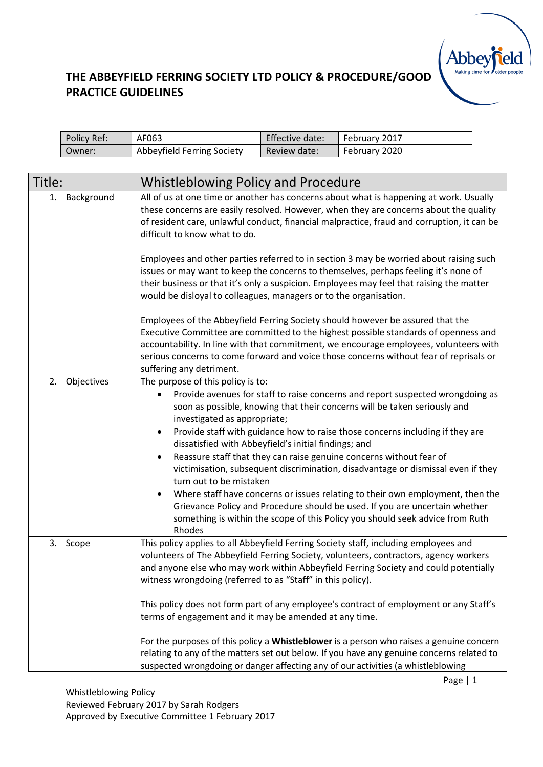

| Policy Ref: | AF063                      | Effective date: | February 2017 |
|-------------|----------------------------|-----------------|---------------|
| Owner:      | Abbeyfield Ferring Society | Review date:    | February 2020 |

| Title:           | <b>Whistleblowing Policy and Procedure</b>                                                                                                                                                                                                                                                                                                                                                                                                                                                                                                                                                                                                                                                                                                                                                                                               |
|------------------|------------------------------------------------------------------------------------------------------------------------------------------------------------------------------------------------------------------------------------------------------------------------------------------------------------------------------------------------------------------------------------------------------------------------------------------------------------------------------------------------------------------------------------------------------------------------------------------------------------------------------------------------------------------------------------------------------------------------------------------------------------------------------------------------------------------------------------------|
| Background<br>1. | All of us at one time or another has concerns about what is happening at work. Usually<br>these concerns are easily resolved. However, when they are concerns about the quality<br>of resident care, unlawful conduct, financial malpractice, fraud and corruption, it can be<br>difficult to know what to do.                                                                                                                                                                                                                                                                                                                                                                                                                                                                                                                           |
|                  | Employees and other parties referred to in section 3 may be worried about raising such<br>issues or may want to keep the concerns to themselves, perhaps feeling it's none of<br>their business or that it's only a suspicion. Employees may feel that raising the matter<br>would be disloyal to colleagues, managers or to the organisation.                                                                                                                                                                                                                                                                                                                                                                                                                                                                                           |
|                  | Employees of the Abbeyfield Ferring Society should however be assured that the<br>Executive Committee are committed to the highest possible standards of openness and<br>accountability. In line with that commitment, we encourage employees, volunteers with<br>serious concerns to come forward and voice those concerns without fear of reprisals or<br>suffering any detriment.                                                                                                                                                                                                                                                                                                                                                                                                                                                     |
| 2.<br>Objectives | The purpose of this policy is to:<br>Provide avenues for staff to raise concerns and report suspected wrongdoing as<br>soon as possible, knowing that their concerns will be taken seriously and<br>investigated as appropriate;<br>Provide staff with guidance how to raise those concerns including if they are<br>$\bullet$<br>dissatisfied with Abbeyfield's initial findings; and<br>Reassure staff that they can raise genuine concerns without fear of<br>victimisation, subsequent discrimination, disadvantage or dismissal even if they<br>turn out to be mistaken<br>Where staff have concerns or issues relating to their own employment, then the<br>Grievance Policy and Procedure should be used. If you are uncertain whether<br>something is within the scope of this Policy you should seek advice from Ruth<br>Rhodes |
| 3. Scope         | This policy applies to all Abbeyfield Ferring Society staff, including employees and<br>volunteers of The Abbeyfield Ferring Society, volunteers, contractors, agency workers<br>and anyone else who may work within Abbeyfield Ferring Society and could potentially<br>witness wrongdoing (referred to as "Staff" in this policy).<br>This policy does not form part of any employee's contract of employment or any Staff's<br>terms of engagement and it may be amended at any time.<br>For the purposes of this policy a Whistleblower is a person who raises a genuine concern                                                                                                                                                                                                                                                     |
|                  | relating to any of the matters set out below. If you have any genuine concerns related to<br>suspected wrongdoing or danger affecting any of our activities (a whistleblowing                                                                                                                                                                                                                                                                                                                                                                                                                                                                                                                                                                                                                                                            |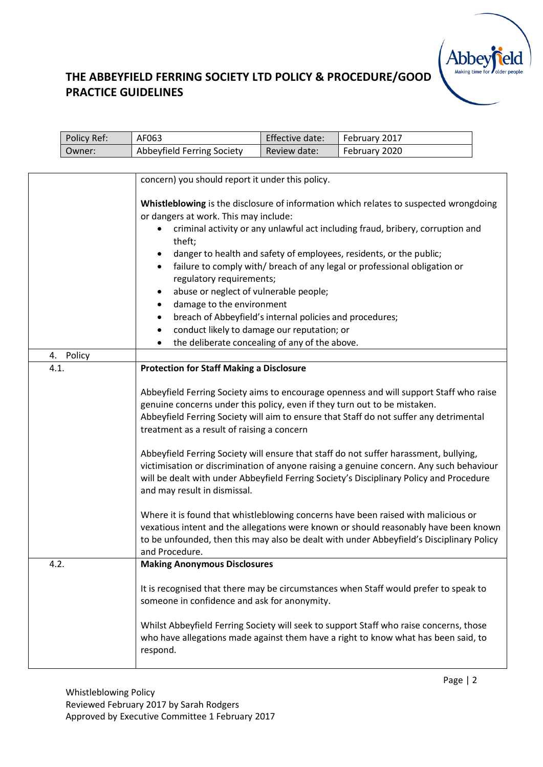

|      | Policy Ref: | AF063                                                                                                                                                                                                                                                                                                                                    | Effective date: | February 2017                                                                                                                                                                                                                                                                                                                                                                                                                                                                                                                                                                                                                                                                                                                            |  |  |
|------|-------------|------------------------------------------------------------------------------------------------------------------------------------------------------------------------------------------------------------------------------------------------------------------------------------------------------------------------------------------|-----------------|------------------------------------------------------------------------------------------------------------------------------------------------------------------------------------------------------------------------------------------------------------------------------------------------------------------------------------------------------------------------------------------------------------------------------------------------------------------------------------------------------------------------------------------------------------------------------------------------------------------------------------------------------------------------------------------------------------------------------------------|--|--|
|      | Owner:      | Abbeyfield Ferring Society                                                                                                                                                                                                                                                                                                               | Review date:    | February 2020                                                                                                                                                                                                                                                                                                                                                                                                                                                                                                                                                                                                                                                                                                                            |  |  |
|      |             |                                                                                                                                                                                                                                                                                                                                          |                 |                                                                                                                                                                                                                                                                                                                                                                                                                                                                                                                                                                                                                                                                                                                                          |  |  |
|      |             | concern) you should report it under this policy.                                                                                                                                                                                                                                                                                         |                 |                                                                                                                                                                                                                                                                                                                                                                                                                                                                                                                                                                                                                                                                                                                                          |  |  |
|      |             | or dangers at work. This may include:<br>theft;<br>٠<br>regulatory requirements;<br>abuse or neglect of vulnerable people;<br>٠<br>damage to the environment<br>٠<br>breach of Abbeyfield's internal policies and procedures;<br>٠<br>conduct likely to damage our reputation; or<br>٠<br>the deliberate concealing of any of the above. |                 | Whistleblowing is the disclosure of information which relates to suspected wrongdoing<br>criminal activity or any unlawful act including fraud, bribery, corruption and<br>danger to health and safety of employees, residents, or the public;<br>failure to comply with/ breach of any legal or professional obligation or                                                                                                                                                                                                                                                                                                                                                                                                              |  |  |
|      |             |                                                                                                                                                                                                                                                                                                                                          |                 |                                                                                                                                                                                                                                                                                                                                                                                                                                                                                                                                                                                                                                                                                                                                          |  |  |
| 4.1. | 4. Policy   | <b>Protection for Staff Making a Disclosure</b>                                                                                                                                                                                                                                                                                          |                 |                                                                                                                                                                                                                                                                                                                                                                                                                                                                                                                                                                                                                                                                                                                                          |  |  |
|      |             | genuine concerns under this policy, even if they turn out to be mistaken.<br>treatment as a result of raising a concern<br>and may result in dismissal.<br>and Procedure.                                                                                                                                                                |                 | Abbeyfield Ferring Society aims to encourage openness and will support Staff who raise<br>Abbeyfield Ferring Society will aim to ensure that Staff do not suffer any detrimental<br>Abbeyfield Ferring Society will ensure that staff do not suffer harassment, bullying,<br>victimisation or discrimination of anyone raising a genuine concern. Any such behaviour<br>will be dealt with under Abbeyfield Ferring Society's Disciplinary Policy and Procedure<br>Where it is found that whistleblowing concerns have been raised with malicious or<br>vexatious intent and the allegations were known or should reasonably have been known<br>to be unfounded, then this may also be dealt with under Abbeyfield's Disciplinary Policy |  |  |
| 4.2. |             | <b>Making Anonymous Disclosures</b>                                                                                                                                                                                                                                                                                                      |                 |                                                                                                                                                                                                                                                                                                                                                                                                                                                                                                                                                                                                                                                                                                                                          |  |  |
|      |             | someone in confidence and ask for anonymity.<br>respond.                                                                                                                                                                                                                                                                                 |                 | It is recognised that there may be circumstances when Staff would prefer to speak to<br>Whilst Abbeyfield Ferring Society will seek to support Staff who raise concerns, those<br>who have allegations made against them have a right to know what has been said, to                                                                                                                                                                                                                                                                                                                                                                                                                                                                     |  |  |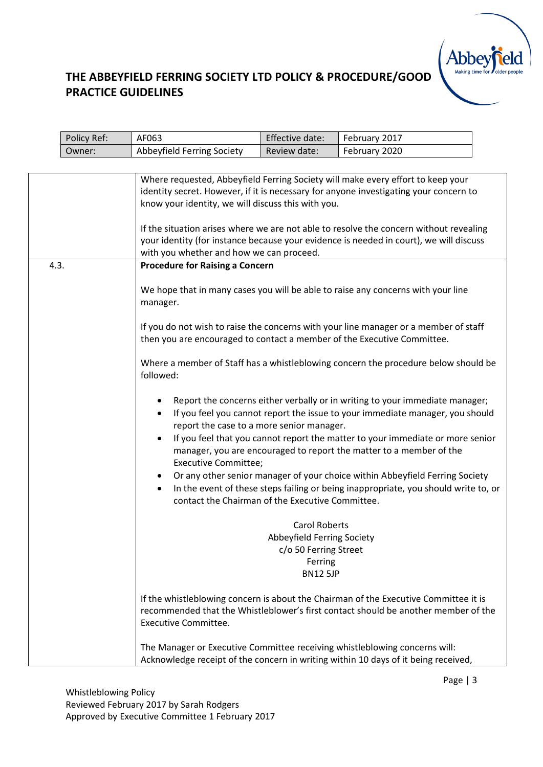# Abbe

|      | Policy Ref: | AF063                                                                                                                                                                 | Effective date:                                                                                           | February 2017                                                                                                                                                                                                                                                                                                                                                                                                                                                                                 |  |
|------|-------------|-----------------------------------------------------------------------------------------------------------------------------------------------------------------------|-----------------------------------------------------------------------------------------------------------|-----------------------------------------------------------------------------------------------------------------------------------------------------------------------------------------------------------------------------------------------------------------------------------------------------------------------------------------------------------------------------------------------------------------------------------------------------------------------------------------------|--|
|      | Owner:      | Abbeyfield Ferring Society                                                                                                                                            | Review date:                                                                                              | February 2020                                                                                                                                                                                                                                                                                                                                                                                                                                                                                 |  |
|      |             |                                                                                                                                                                       |                                                                                                           |                                                                                                                                                                                                                                                                                                                                                                                                                                                                                               |  |
|      |             | know your identity, we will discuss this with you.<br>with you whether and how we can proceed.                                                                        |                                                                                                           | Where requested, Abbeyfield Ferring Society will make every effort to keep your<br>identity secret. However, if it is necessary for anyone investigating your concern to<br>If the situation arises where we are not able to resolve the concern without revealing<br>your identity (for instance because your evidence is needed in court), we will discuss                                                                                                                                  |  |
| 4.3. |             | <b>Procedure for Raising a Concern</b>                                                                                                                                |                                                                                                           |                                                                                                                                                                                                                                                                                                                                                                                                                                                                                               |  |
|      |             | manager.                                                                                                                                                              |                                                                                                           | We hope that in many cases you will be able to raise any concerns with your line                                                                                                                                                                                                                                                                                                                                                                                                              |  |
|      |             | then you are encouraged to contact a member of the Executive Committee.                                                                                               |                                                                                                           | If you do not wish to raise the concerns with your line manager or a member of staff                                                                                                                                                                                                                                                                                                                                                                                                          |  |
|      |             | followed:                                                                                                                                                             |                                                                                                           | Where a member of Staff has a whistleblowing concern the procedure below should be                                                                                                                                                                                                                                                                                                                                                                                                            |  |
|      |             | ٠<br>٠<br>report the case to a more senior manager.<br>$\bullet$<br><b>Executive Committee;</b><br>٠<br>$\bullet$<br>contact the Chairman of the Executive Committee. |                                                                                                           | Report the concerns either verbally or in writing to your immediate manager;<br>If you feel you cannot report the issue to your immediate manager, you should<br>If you feel that you cannot report the matter to your immediate or more senior<br>manager, you are encouraged to report the matter to a member of the<br>Or any other senior manager of your choice within Abbeyfield Ferring Society<br>In the event of these steps failing or being inappropriate, you should write to, or |  |
|      |             |                                                                                                                                                                       | <b>Carol Roberts</b><br>Abbeyfield Ferring Society<br>c/o 50 Ferring Street<br>Ferring<br><b>BN12 5JP</b> |                                                                                                                                                                                                                                                                                                                                                                                                                                                                                               |  |
|      |             | <b>Executive Committee.</b>                                                                                                                                           |                                                                                                           | If the whistleblowing concern is about the Chairman of the Executive Committee it is<br>recommended that the Whistleblower's first contact should be another member of the                                                                                                                                                                                                                                                                                                                    |  |
|      |             |                                                                                                                                                                       |                                                                                                           | The Manager or Executive Committee receiving whistleblowing concerns will:<br>Acknowledge receipt of the concern in writing within 10 days of it being received,                                                                                                                                                                                                                                                                                                                              |  |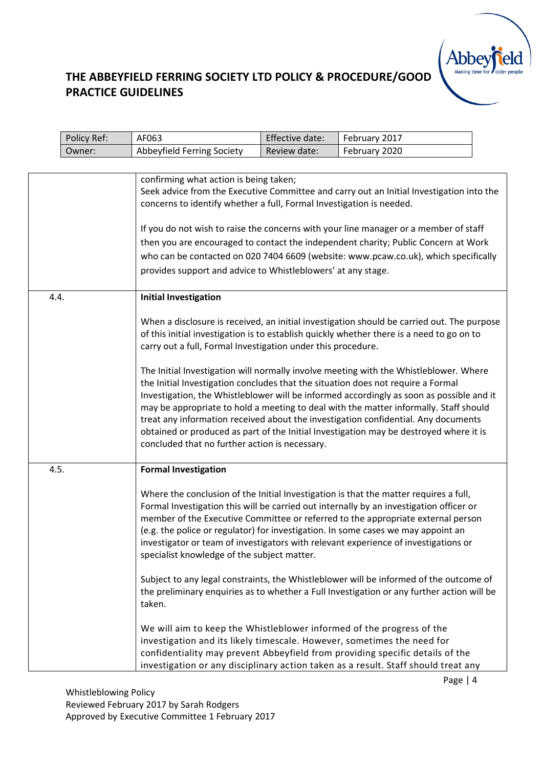

|      | Policy Ref: | AF063                                                                                                                                                                          | Effective date: | February 2017                                                                                                                                                                                                                                                                                                                                                                                                                                              |  |
|------|-------------|--------------------------------------------------------------------------------------------------------------------------------------------------------------------------------|-----------------|------------------------------------------------------------------------------------------------------------------------------------------------------------------------------------------------------------------------------------------------------------------------------------------------------------------------------------------------------------------------------------------------------------------------------------------------------------|--|
|      | Owner:      | Abbeyfield Ferring Society                                                                                                                                                     | Review date:    | February 2020                                                                                                                                                                                                                                                                                                                                                                                                                                              |  |
|      |             |                                                                                                                                                                                |                 |                                                                                                                                                                                                                                                                                                                                                                                                                                                            |  |
|      |             | confirming what action is being taken;<br>concerns to identify whether a full, Formal Investigation is needed.<br>provides support and advice to Whistleblowers' at any stage. |                 | Seek advice from the Executive Committee and carry out an Initial Investigation into the<br>If you do not wish to raise the concerns with your line manager or a member of staff<br>then you are encouraged to contact the independent charity; Public Concern at Work<br>who can be contacted on 020 7404 6609 (website: www.pcaw.co.uk), which specifically                                                                                              |  |
| 4.4. |             | <b>Initial Investigation</b>                                                                                                                                                   |                 |                                                                                                                                                                                                                                                                                                                                                                                                                                                            |  |
|      |             | carry out a full, Formal Investigation under this procedure.                                                                                                                   |                 | When a disclosure is received, an initial investigation should be carried out. The purpose<br>of this initial investigation is to establish quickly whether there is a need to go on to                                                                                                                                                                                                                                                                    |  |
|      |             | the Initial Investigation concludes that the situation does not require a Formal<br>concluded that no further action is necessary.                                             |                 | The Initial Investigation will normally involve meeting with the Whistleblower. Where<br>Investigation, the Whistleblower will be informed accordingly as soon as possible and it<br>may be appropriate to hold a meeting to deal with the matter informally. Staff should<br>treat any information received about the investigation confidential. Any documents<br>obtained or produced as part of the Initial Investigation may be destroyed where it is |  |
| 4.5. |             | <b>Formal Investigation</b>                                                                                                                                                    |                 |                                                                                                                                                                                                                                                                                                                                                                                                                                                            |  |
|      |             | specialist knowledge of the subject matter.                                                                                                                                    |                 | Where the conclusion of the Initial Investigation is that the matter requires a full,<br>Formal Investigation this will be carried out internally by an investigation officer or<br>member of the Executive Committee or referred to the appropriate external person<br>(e.g. the police or regulator) for investigation. In some cases we may appoint an<br>investigator or team of investigators with relevant experience of investigations or           |  |
|      |             | taken.                                                                                                                                                                         |                 | Subject to any legal constraints, the Whistleblower will be informed of the outcome of<br>the preliminary enquiries as to whether a Full Investigation or any further action will be                                                                                                                                                                                                                                                                       |  |
|      |             | We will aim to keep the Whistleblower informed of the progress of the<br>investigation and its likely timescale. However, sometimes the need for                               |                 | confidentiality may prevent Abbeyfield from providing specific details of the<br>investigation or any disciplinary action taken as a result. Staff should treat any                                                                                                                                                                                                                                                                                        |  |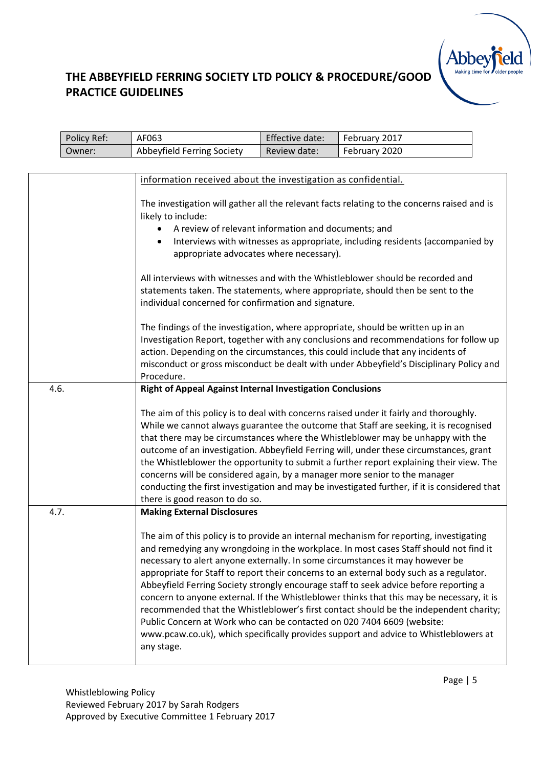# **Abbey**

|      | Policy Ref:                                                   | AF063                                                                                       | Effective date:    | February 2017                                                                                |  |  |
|------|---------------------------------------------------------------|---------------------------------------------------------------------------------------------|--------------------|----------------------------------------------------------------------------------------------|--|--|
|      | Owner:                                                        | Abbeyfield Ferring Society                                                                  | Review date:       | February 2020                                                                                |  |  |
|      |                                                               |                                                                                             |                    |                                                                                              |  |  |
|      | information received about the investigation as confidential. |                                                                                             |                    |                                                                                              |  |  |
|      |                                                               |                                                                                             |                    |                                                                                              |  |  |
|      |                                                               | The investigation will gather all the relevant facts relating to the concerns raised and is |                    |                                                                                              |  |  |
|      |                                                               |                                                                                             | likely to include: |                                                                                              |  |  |
|      |                                                               | A review of relevant information and documents; and                                         |                    |                                                                                              |  |  |
|      |                                                               | Interviews with witnesses as appropriate, including residents (accompanied by<br>$\bullet$  |                    |                                                                                              |  |  |
|      |                                                               | appropriate advocates where necessary).                                                     |                    |                                                                                              |  |  |
|      |                                                               |                                                                                             |                    |                                                                                              |  |  |
|      |                                                               |                                                                                             |                    | All interviews with witnesses and with the Whistleblower should be recorded and              |  |  |
|      |                                                               | individual concerned for confirmation and signature.                                        |                    | statements taken. The statements, where appropriate, should then be sent to the              |  |  |
|      |                                                               |                                                                                             |                    |                                                                                              |  |  |
|      |                                                               |                                                                                             |                    | The findings of the investigation, where appropriate, should be written up in an             |  |  |
|      |                                                               |                                                                                             |                    | Investigation Report, together with any conclusions and recommendations for follow up        |  |  |
|      |                                                               |                                                                                             |                    | action. Depending on the circumstances, this could include that any incidents of             |  |  |
|      |                                                               |                                                                                             |                    | misconduct or gross misconduct be dealt with under Abbeyfield's Disciplinary Policy and      |  |  |
|      |                                                               | Procedure.                                                                                  |                    |                                                                                              |  |  |
| 4.6. |                                                               | <b>Right of Appeal Against Internal Investigation Conclusions</b>                           |                    |                                                                                              |  |  |
|      |                                                               |                                                                                             |                    |                                                                                              |  |  |
|      |                                                               |                                                                                             |                    | The aim of this policy is to deal with concerns raised under it fairly and thoroughly.       |  |  |
|      |                                                               |                                                                                             |                    | While we cannot always guarantee the outcome that Staff are seeking, it is recognised        |  |  |
|      |                                                               |                                                                                             |                    | that there may be circumstances where the Whistleblower may be unhappy with the              |  |  |
|      |                                                               |                                                                                             |                    | outcome of an investigation. Abbeyfield Ferring will, under these circumstances, grant       |  |  |
|      |                                                               | concerns will be considered again, by a manager more senior to the manager                  |                    | the Whistleblower the opportunity to submit a further report explaining their view. The      |  |  |
|      |                                                               |                                                                                             |                    | conducting the first investigation and may be investigated further, if it is considered that |  |  |
|      |                                                               | there is good reason to do so.                                                              |                    |                                                                                              |  |  |
| 4.7. |                                                               | <b>Making External Disclosures</b>                                                          |                    |                                                                                              |  |  |
|      |                                                               |                                                                                             |                    |                                                                                              |  |  |
|      |                                                               |                                                                                             |                    | The aim of this policy is to provide an internal mechanism for reporting, investigating      |  |  |
|      |                                                               |                                                                                             |                    | and remedying any wrongdoing in the workplace. In most cases Staff should not find it        |  |  |
|      |                                                               |                                                                                             |                    | necessary to alert anyone externally. In some circumstances it may however be                |  |  |
|      |                                                               |                                                                                             |                    | appropriate for Staff to report their concerns to an external body such as a regulator.      |  |  |
|      |                                                               |                                                                                             |                    | Abbeyfield Ferring Society strongly encourage staff to seek advice before reporting a        |  |  |
|      |                                                               |                                                                                             |                    | concern to anyone external. If the Whistleblower thinks that this may be necessary, it is    |  |  |
|      |                                                               |                                                                                             |                    | recommended that the Whistleblower's first contact should be the independent charity;        |  |  |
|      |                                                               | Public Concern at Work who can be contacted on 020 7404 6609 (website:                      |                    |                                                                                              |  |  |
|      |                                                               |                                                                                             |                    | www.pcaw.co.uk), which specifically provides support and advice to Whistleblowers at         |  |  |
|      |                                                               | any stage.                                                                                  |                    |                                                                                              |  |  |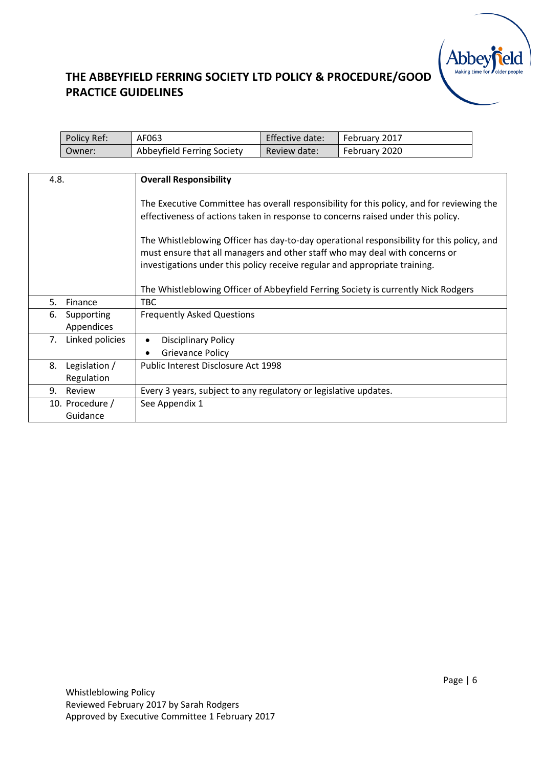# **Abbey**

| Policy Ref: | AF063                      | Effective date: | February 2017 |
|-------------|----------------------------|-----------------|---------------|
| Owner:      | Abbeyfield Ferring Society | Review date:    | February 2020 |

| 4.8.                | <b>Overall Responsibility</b>                                                                                                                                            |
|---------------------|--------------------------------------------------------------------------------------------------------------------------------------------------------------------------|
|                     |                                                                                                                                                                          |
|                     | The Executive Committee has overall responsibility for this policy, and for reviewing the                                                                                |
|                     | effectiveness of actions taken in response to concerns raised under this policy.                                                                                         |
|                     |                                                                                                                                                                          |
|                     | The Whistleblowing Officer has day-to-day operational responsibility for this policy, and<br>must ensure that all managers and other staff who may deal with concerns or |
|                     | investigations under this policy receive regular and appropriate training.                                                                                               |
|                     |                                                                                                                                                                          |
|                     | The Whistleblowing Officer of Abbeyfield Ferring Society is currently Nick Rodgers                                                                                       |
| 5.<br>Finance       | TBC.                                                                                                                                                                     |
| Supporting<br>6.    | <b>Frequently Asked Questions</b>                                                                                                                                        |
| Appendices          |                                                                                                                                                                          |
| 7. Linked policies  | <b>Disciplinary Policy</b>                                                                                                                                               |
|                     | <b>Grievance Policy</b>                                                                                                                                                  |
| 8.<br>Legislation / | Public Interest Disclosure Act 1998                                                                                                                                      |
| Regulation          |                                                                                                                                                                          |
| 9.<br>Review        | Every 3 years, subject to any regulatory or legislative updates.                                                                                                         |
| 10. Procedure /     | See Appendix 1                                                                                                                                                           |
| Guidance            |                                                                                                                                                                          |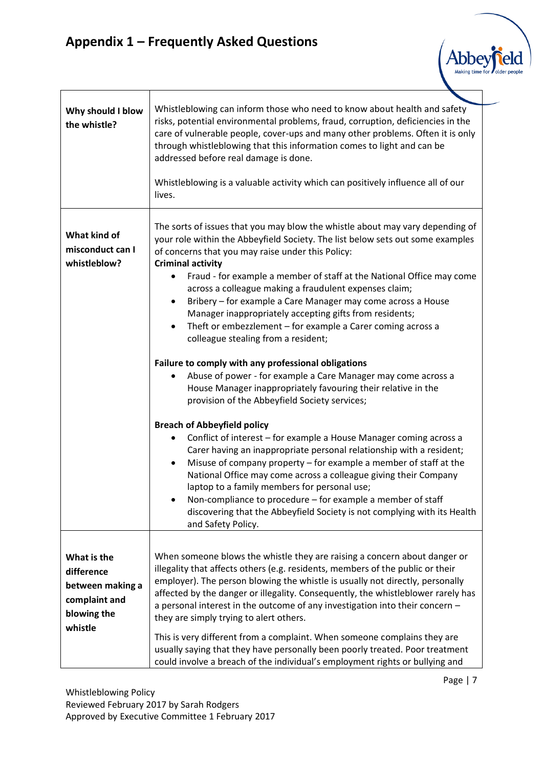# **Appendix 1 – Frequently Asked Questions**

| Why should I blow<br>the whistle?                                             | Whistleblowing can inform those who need to know about health and safety<br>risks, potential environmental problems, fraud, corruption, deficiencies in the<br>care of vulnerable people, cover-ups and many other problems. Often it is only<br>through whistleblowing that this information comes to light and can be<br>addressed before real damage is done.<br>Whistleblowing is a valuable activity which can positively influence all of our<br>lives.                  |
|-------------------------------------------------------------------------------|--------------------------------------------------------------------------------------------------------------------------------------------------------------------------------------------------------------------------------------------------------------------------------------------------------------------------------------------------------------------------------------------------------------------------------------------------------------------------------|
|                                                                               |                                                                                                                                                                                                                                                                                                                                                                                                                                                                                |
| What kind of<br>misconduct can I<br>whistleblow?                              | The sorts of issues that you may blow the whistle about may vary depending of<br>your role within the Abbeyfield Society. The list below sets out some examples<br>of concerns that you may raise under this Policy:<br><b>Criminal activity</b><br>Fraud - for example a member of staff at the National Office may come                                                                                                                                                      |
|                                                                               | across a colleague making a fraudulent expenses claim;<br>Bribery - for example a Care Manager may come across a House<br>$\bullet$<br>Manager inappropriately accepting gifts from residents;<br>Theft or embezzlement - for example a Carer coming across a<br>$\bullet$<br>colleague stealing from a resident;                                                                                                                                                              |
|                                                                               | Failure to comply with any professional obligations<br>Abuse of power - for example a Care Manager may come across a<br>House Manager inappropriately favouring their relative in the<br>provision of the Abbeyfield Society services;                                                                                                                                                                                                                                         |
|                                                                               | <b>Breach of Abbeyfield policy</b>                                                                                                                                                                                                                                                                                                                                                                                                                                             |
|                                                                               | Conflict of interest - for example a House Manager coming across a<br>Carer having an inappropriate personal relationship with a resident;<br>Misuse of company property - for example a member of staff at the<br>National Office may come across a colleague giving their Company<br>laptop to a family members for personal use;<br>Non-compliance to procedure - for example a member of staff<br>discovering that the Abbeyfield Society is not complying with its Health |
|                                                                               | and Safety Policy.                                                                                                                                                                                                                                                                                                                                                                                                                                                             |
| What is the<br>difference<br>between making a<br>complaint and<br>blowing the | When someone blows the whistle they are raising a concern about danger or<br>illegality that affects others (e.g. residents, members of the public or their<br>employer). The person blowing the whistle is usually not directly, personally<br>affected by the danger or illegality. Consequently, the whistleblower rarely has<br>a personal interest in the outcome of any investigation into their concern -<br>they are simply trying to alert others.                    |
| whistle                                                                       | This is very different from a complaint. When someone complains they are<br>usually saying that they have personally been poorly treated. Poor treatment<br>could involve a breach of the individual's employment rights or bullying and                                                                                                                                                                                                                                       |

Abbe **Making tim**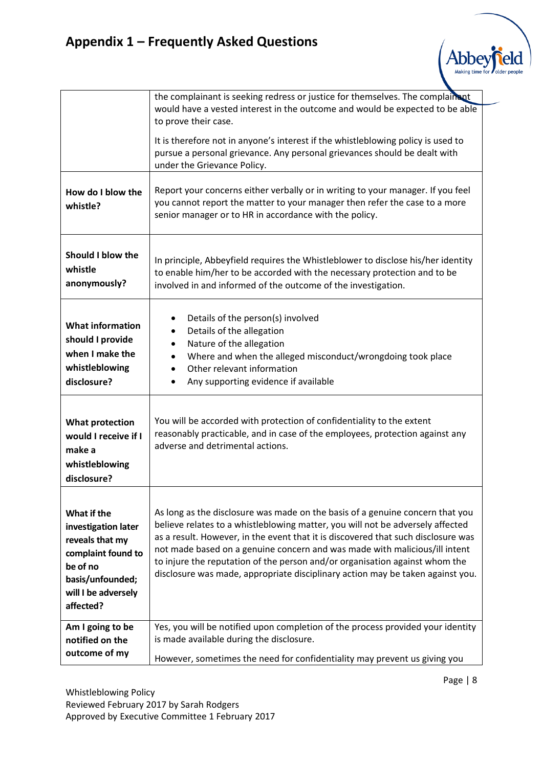|                                                                                                                                                 | the complainant is seeking redress or justice for themselves. The complainant<br>would have a vested interest in the outcome and would be expected to be able<br>to prove their case.                                                                                                                                                                                                                                                                                                               |
|-------------------------------------------------------------------------------------------------------------------------------------------------|-----------------------------------------------------------------------------------------------------------------------------------------------------------------------------------------------------------------------------------------------------------------------------------------------------------------------------------------------------------------------------------------------------------------------------------------------------------------------------------------------------|
|                                                                                                                                                 | It is therefore not in anyone's interest if the whistleblowing policy is used to<br>pursue a personal grievance. Any personal grievances should be dealt with<br>under the Grievance Policy.                                                                                                                                                                                                                                                                                                        |
| How do I blow the<br>whistle?                                                                                                                   | Report your concerns either verbally or in writing to your manager. If you feel<br>you cannot report the matter to your manager then refer the case to a more<br>senior manager or to HR in accordance with the policy.                                                                                                                                                                                                                                                                             |
| <b>Should I blow the</b><br>whistle<br>anonymously?                                                                                             | In principle, Abbeyfield requires the Whistleblower to disclose his/her identity<br>to enable him/her to be accorded with the necessary protection and to be<br>involved in and informed of the outcome of the investigation.                                                                                                                                                                                                                                                                       |
| <b>What information</b><br>should I provide<br>when I make the<br>whistleblowing<br>disclosure?                                                 | Details of the person(s) involved<br>Details of the allegation<br>Nature of the allegation<br>٠<br>Where and when the alleged misconduct/wrongdoing took place<br>$\bullet$<br>Other relevant information<br>Any supporting evidence if available                                                                                                                                                                                                                                                   |
| <b>What protection</b><br>would I receive if I<br>make a<br>whistleblowing<br>disclosure?                                                       | You will be accorded with protection of confidentiality to the extent<br>reasonably practicable, and in case of the employees, protection against any<br>adverse and detrimental actions.                                                                                                                                                                                                                                                                                                           |
| What if the<br>investigation later<br>reveals that my<br>complaint found to<br>be of no<br>basis/unfounded;<br>will I be adversely<br>affected? | As long as the disclosure was made on the basis of a genuine concern that you<br>believe relates to a whistleblowing matter, you will not be adversely affected<br>as a result. However, in the event that it is discovered that such disclosure was<br>not made based on a genuine concern and was made with malicious/ill intent<br>to injure the reputation of the person and/or organisation against whom the<br>disclosure was made, appropriate disciplinary action may be taken against you. |
| Am I going to be<br>notified on the<br>outcome of my                                                                                            | Yes, you will be notified upon completion of the process provided your identity<br>is made available during the disclosure.<br>However, sometimes the need for confidentiality may prevent us giving you                                                                                                                                                                                                                                                                                            |

Making time